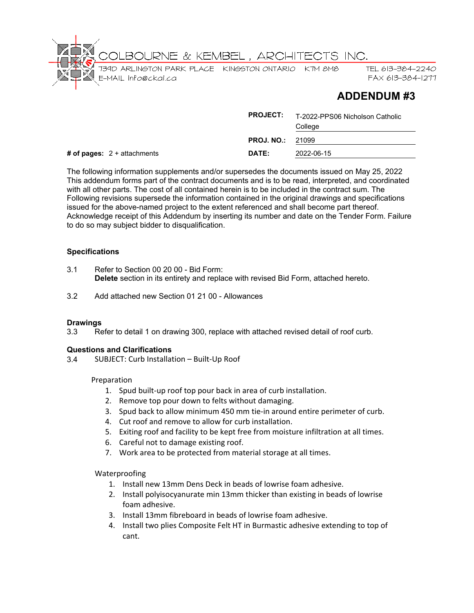

# **ADDENDUM #3**

|                               | <b>PROJECT:</b>   | T-2022-PPS06 Nicholson Catholic<br>College |
|-------------------------------|-------------------|--------------------------------------------|
|                               | <b>PROJ. NO.:</b> | 21099                                      |
| # of pages: $2 +$ attachments | DATE:             | 2022-06-15                                 |

The following information supplements and/or supersedes the documents issued on May 25, 2022 This addendum forms part of the contract documents and is to be read, interpreted, and coordinated with all other parts. The cost of all contained herein is to be included in the contract sum. The Following revisions supersede the information contained in the original drawings and specifications issued for the above-named project to the extent referenced and shall become part thereof. Acknowledge receipt of this Addendum by inserting its number and date on the Tender Form. Failure to do so may subject bidder to disqualification.

# **Specifications**

- 3.1 Refer to Section 00 20 00 Bid Form: **Delete** section in its entirety and replace with revised Bid Form, attached hereto.
- 3.2 Add attached new Section 01 21 00 Allowances

# **Drawings**<br>3.3 Re

Refer to detail 1 on drawing 300, replace with attached revised detail of roof curb.

# **Questions and Clarifications**

3.4 SUBJECT: Curb Installation – Built-Up Roof

#### Preparation

- 1. Spud built-up roof top pour back in area of curb installation.
- 2. Remove top pour down to felts without damaging.
- 3. Spud back to allow minimum 450 mm tie-in around entire perimeter of curb.
- 4. Cut roof and remove to allow for curb installation.
- 5. Exiting roof and facility to be kept free from moisture infiltration at all times.
- 6. Careful not to damage existing roof.
- 7. Work area to be protected from material storage at all times.

# Waterproofing

- 1. Install new 13mm Dens Deck in beads of lowrise foam adhesive.
- 2. Install polyisocyanurate min 13mm thicker than existing in beads of lowrise foam adhesive.
- 3. Install 13mm fibreboard in beads of lowrise foam adhesive.
- 4. Install two plies Composite Felt HT in Burmastic adhesive extending to top of cant.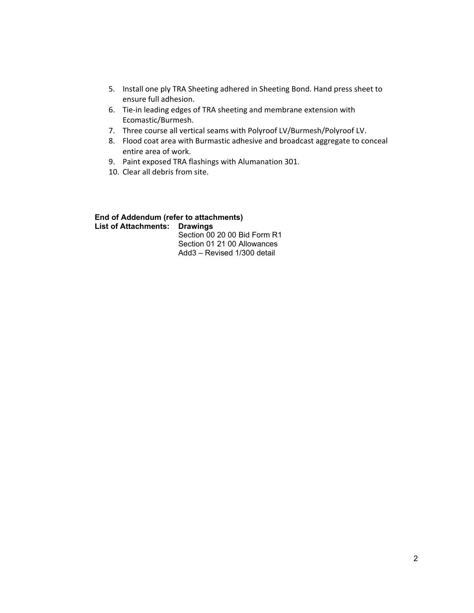- 5. Install one ply TRA Sheeting adhered in Sheeting Bond. Hand press sheet to ensure full adhesion.
- 6. Tie-in leading edges of TRA sheeting and membrane extension with Ecomastic/Burmesh.
- 7. Three course all vertical seams with Polyroof LV/Burmesh/Polyroof LV.
- 8. Flood coat area with Burmastic adhesive and broadcast aggregate to conceal entire area of work.
- 9. Paint exposed TRA flashings with Alumanation 301.
- 10. Clear all debris from site.

# **End of Addendum (refer to attachments) List of Attachments: Drawings**

Section 00 20 00 Bid Form R1 Section 01 21 00 Allowances Add3 – Revised 1/300 detail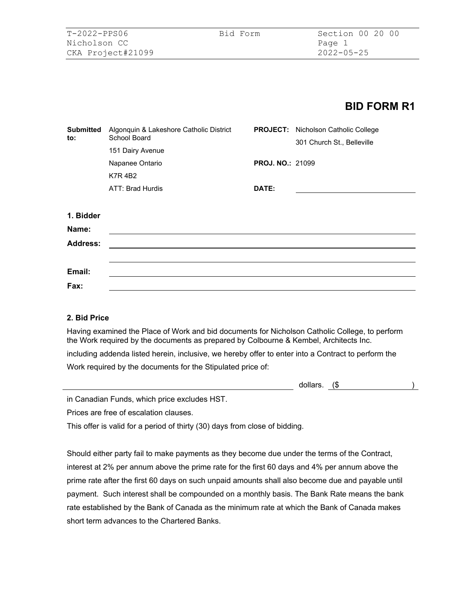# **BID FORM R1**

| <b>Submitted</b><br>to: | Algonquin & Lakeshore Catholic District<br>School Board |                         | <b>PROJECT:</b> Nicholson Catholic College<br>301 Church St., Belleville |  |  |
|-------------------------|---------------------------------------------------------|-------------------------|--------------------------------------------------------------------------|--|--|
|                         | 151 Dairy Avenue                                        |                         |                                                                          |  |  |
|                         | Napanee Ontario                                         | <b>PROJ. NO.: 21099</b> |                                                                          |  |  |
|                         | <b>K7R4B2</b>                                           |                         |                                                                          |  |  |
|                         | ATT: Brad Hurdis                                        | DATE:                   |                                                                          |  |  |
|                         |                                                         |                         |                                                                          |  |  |
| 1. Bidder               |                                                         |                         |                                                                          |  |  |
| Name:                   |                                                         |                         |                                                                          |  |  |
| <b>Address:</b>         |                                                         |                         |                                                                          |  |  |
|                         |                                                         |                         |                                                                          |  |  |
| Email:                  |                                                         |                         |                                                                          |  |  |
| Fax:                    |                                                         |                         |                                                                          |  |  |

#### **2. Bid Price**

Having examined the Place of Work and bid documents for Nicholson Catholic College, to perform the Work required by the documents as prepared by Colbourne & Kembel, Architects Inc.

including addenda listed herein, inclusive, we hereby offer to enter into a Contract to perform the Work required by the documents for the Stipulated price of:

| dollars. |  |  |  |
|----------|--|--|--|
|----------|--|--|--|

in Canadian Funds, which price excludes HST.

Prices are free of escalation clauses.

This offer is valid for a period of thirty (30) days from close of bidding.

Should either party fail to make payments as they become due under the terms of the Contract, interest at 2% per annum above the prime rate for the first 60 days and 4% per annum above the prime rate after the first 60 days on such unpaid amounts shall also become due and payable until payment. Such interest shall be compounded on a monthly basis. The Bank Rate means the bank rate established by the Bank of Canada as the minimum rate at which the Bank of Canada makes short term advances to the Chartered Banks.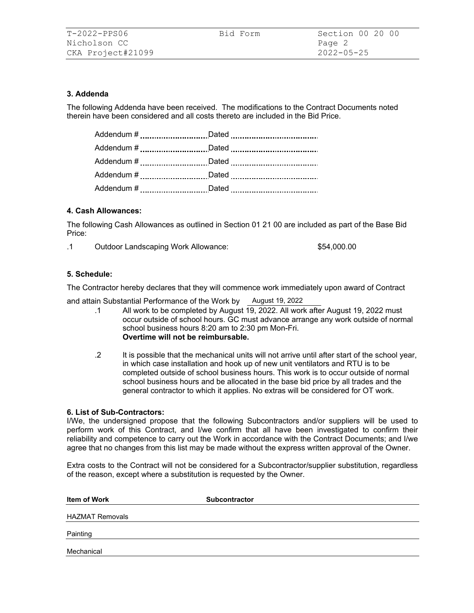# **3. Addenda**

The following Addenda have been received. The modifications to the Contract Documents noted therein have been considered and all costs thereto are included in the Bid Price.

| Addendum # Dated |
|------------------|
|                  |

#### **4. Cash Allowances:**

The following Cash Allowances as outlined in Section 01 21 00 are included as part of the Base Bid Price:

.1 Outdoor Landscaping Work Allowance: \$54,000.00

#### **5. Schedule:**

The Contractor hereby declares that they will commence work immediately upon award of Contract

and attain Substantial Performance of the Work by August 19, 2022

- .1 All work to be completed by August 19, 2022. All work after August 19, 2022 must occur outside of school hours. GC must advance arrange any work outside of normal school business hours 8:20 am to 2:30 pm Mon-Fri. **Overtime will not be reimbursable.**
- .2 It is possible that the mechanical units will not arrive until after start of the school year, in which case installation and hook up of new unit ventilators and RTU is to be completed outside of school business hours. This work is to occur outside of normal school business hours and be allocated in the base bid price by all trades and the general contractor to which it applies. No extras will be considered for OT work.

#### **6. List of Sub-Contractors:**

I/We, the undersigned propose that the following Subcontractors and/or suppliers will be used to perform work of this Contract, and I/we confirm that all have been investigated to confirm their reliability and competence to carry out the Work in accordance with the Contract Documents; and I/we agree that no changes from this list may be made without the express written approval of the Owner.

Extra costs to the Contract will not be considered for a Subcontractor/supplier substitution, regardless of the reason, except where a substitution is requested by the Owner.

| Item of Work           | <b>Subcontractor</b> |
|------------------------|----------------------|
| <b>HAZMAT Removals</b> |                      |
| Painting               |                      |
| Mechanical             |                      |
|                        |                      |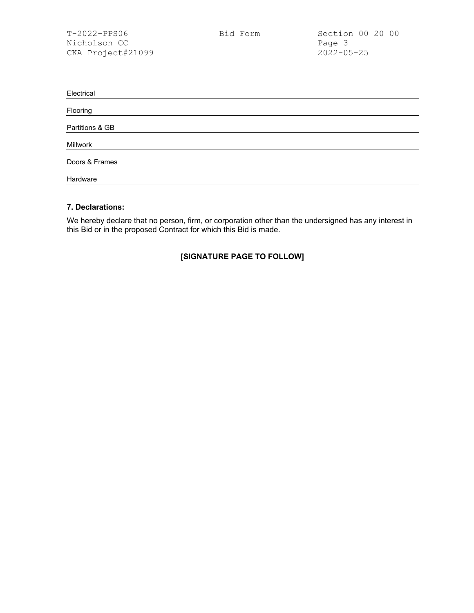| T-2022-PPS06      | Bid Form | Section 00 20 00 |
|-------------------|----------|------------------|
| Nicholson CC      |          | Page 3           |
| CKA Project#21099 |          | $2022 - 05 - 25$ |

| Electrical      |
|-----------------|
|                 |
| Flooring        |
|                 |
| Partitions & GB |
|                 |
| Millwork        |
|                 |
| Doors & Frames  |
|                 |
| Hardware        |

### **7. Declarations:**

We hereby declare that no person, firm, or corporation other than the undersigned has any interest in this Bid or in the proposed Contract for which this Bid is made.

# **[SIGNATURE PAGE TO FOLLOW]**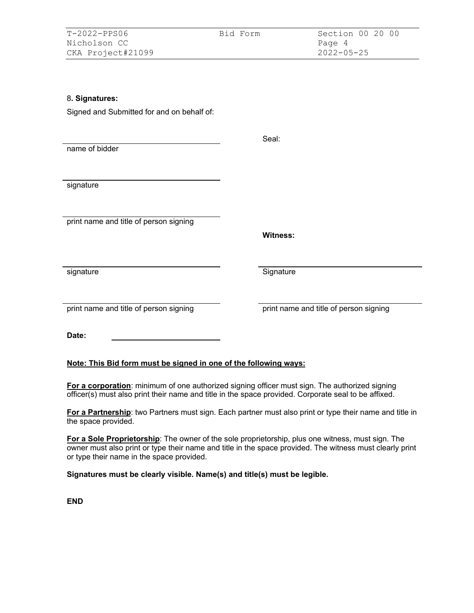| $T-2022-PPSO6$    | Bid Form | Section 00 20 00 |
|-------------------|----------|------------------|
| Nicholson CC      |          | Page 4           |
| CKA Project#21099 |          | 2022-05-25       |

# 8**. Signatures:**

Signed and Submitted for and on behalf of:

|                                                                  | Seal:                                  |
|------------------------------------------------------------------|----------------------------------------|
| name of bidder                                                   |                                        |
|                                                                  |                                        |
|                                                                  |                                        |
| signature                                                        |                                        |
|                                                                  |                                        |
|                                                                  |                                        |
| print name and title of person signing                           |                                        |
|                                                                  | <b>Witness:</b>                        |
|                                                                  |                                        |
|                                                                  |                                        |
| signature                                                        | Signature                              |
|                                                                  |                                        |
|                                                                  |                                        |
| print name and title of person signing                           | print name and title of person signing |
|                                                                  |                                        |
| Date:                                                            |                                        |
|                                                                  |                                        |
| Note: This Bid form must be signed in one of the following ways: |                                        |

**For a corporation**: minimum of one authorized signing officer must sign. The authorized signing officer(s) must also print their name and title in the space provided. Corporate seal to be affixed.

**For a Partnership**: two Partners must sign. Each partner must also print or type their name and title in the space provided.

**For a Sole Proprietorship**: The owner of the sole proprietorship, plus one witness, must sign. The owner must also print or type their name and title in the space provided. The witness must clearly print or type their name in the space provided.

**Signatures must be clearly visible. Name(s) and title(s) must be legible.** 

**END**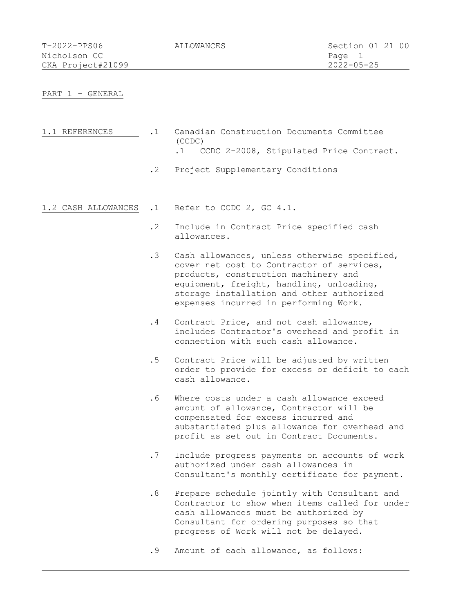| $T-2022-PPS06$    | ALLOWANCES | Section 01 21 00 |
|-------------------|------------|------------------|
| Nicholson CC      |            | Page 1           |
| CKA Project#21099 |            | $2022 - 05 - 25$ |

PART 1 - GENERAL

| 1.1 REFERENCES |        | Canadian Construction Documents Committee |  |                                            |
|----------------|--------|-------------------------------------------|--|--------------------------------------------|
|                | (CCDC) |                                           |  |                                            |
|                |        |                                           |  | .1 CCDC 2-2008, Stipulated Price Contract. |

- .2 Project Supplementary Conditions
- 1.2 CASH ALLOWANCES .1 Refer to CCDC 2, GC 4.1.
	- .2 Include in Contract Price specified cash allowances.
	- .3 Cash allowances, unless otherwise specified, cover net cost to Contractor of services, products, construction machinery and equipment, freight, handling, unloading, storage installation and other authorized expenses incurred in performing Work.
	- .4 Contract Price, and not cash allowance, includes Contractor's overhead and profit in connection with such cash allowance.
	- .5 Contract Price will be adjusted by written order to provide for excess or deficit to each cash allowance.
	- .6 Where costs under a cash allowance exceed amount of allowance, Contractor will be compensated for excess incurred and substantiated plus allowance for overhead and profit as set out in Contract Documents.
	- .7 Include progress payments on accounts of work authorized under cash allowances in Consultant's monthly certificate for payment.
	- .8 Prepare schedule jointly with Consultant and Contractor to show when items called for under cash allowances must be authorized by Consultant for ordering purposes so that progress of Work will not be delayed.
	- .9 Amount of each allowance, as follows: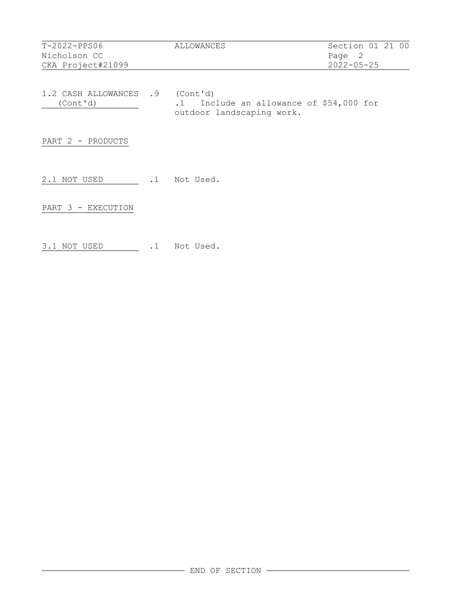| $T-2022-PPS06$    | ALLOWANCES | Section 01 21 00 |
|-------------------|------------|------------------|
| Nicholson CC      |            | Page 2           |
| CKA Project#21099 |            | $2022 - 05 - 25$ |
|                   |            |                  |

1.2 CASH ALLOWANCES .9 (Cont'd)<br>(Cont'd) .1 Inc. (Cont'd) .1 Include an allowance of \$54,000 for outdoor landscaping work.

PART 2 - PRODUCTS

2.1 NOT USED .1 Not Used.

PART 3 - EXECUTION

3.1 NOT USED .1 Not Used.